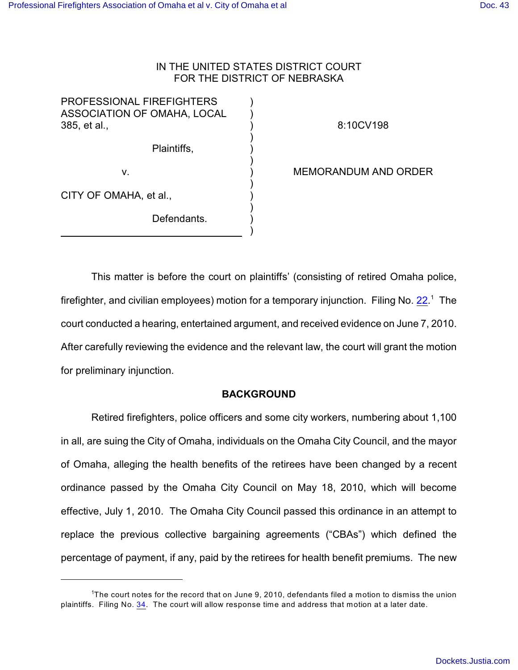# IN THE UNITED STATES DISTRICT COURT FOR THE DISTRICT OF NEBRASKA

) ) ) ) ) ) ) ) ) ) ) )

PROFESSIONAL FIREFIGHTERS ASSOCIATION OF OMAHA, LOCAL 385, et al.,

Plaintiffs,

8:10CV198

v.

CITY OF OMAHA, et al.,

Defendants.

MEMORANDUM AND ORDER

This matter is before the court on plaintiffs' (consisting of retired Omaha police, firefighter, and civilian employees) motion for a temporary injunction. Filing No.  $22<sup>1</sup>$  The court conducted a hearing, entertained argument, and received evidence on June 7, 2010. After carefully reviewing the evidence and the relevant law, the court will grant the motion for preliminary injunction.

# **BACKGROUND**

Retired firefighters, police officers and some city workers, numbering about 1,100 in all, are suing the City of Omaha, individuals on the Omaha City Council, and the mayor of Omaha, alleging the health benefits of the retirees have been changed by a recent ordinance passed by the Omaha City Council on May 18, 2010, which will become effective, July 1, 2010. The Omaha City Council passed this ordinance in an attempt to replace the previous collective bargaining agreements ("CBAs") which defined the percentage of payment, if any, paid by the retirees for health benefit premiums. The new

<sup>&</sup>lt;sup>1</sup>The court notes for the record that on June 9, 2010, defendants filed a motion to dismiss the union plaintiffs. Filing No. [34](http://ecf.ned.uscourts.gov/doc1/11302034488). The court will allow response time and address that motion at a later date.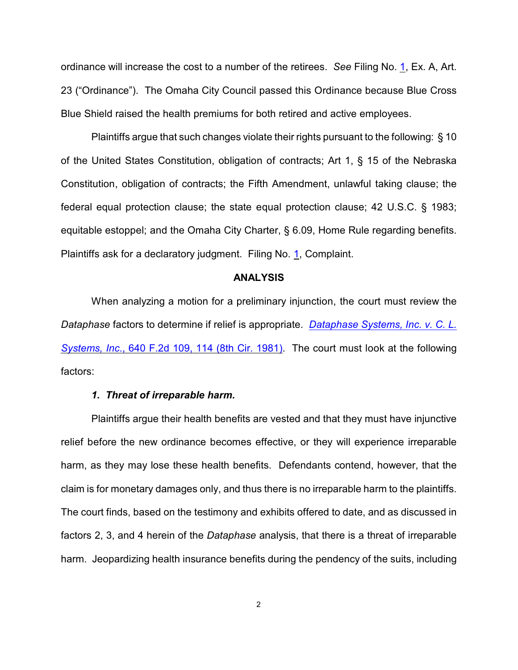ordinance will increase the cost to a number of the retirees. *See* Filing No. [1](http://ecf.ned.uscourts.gov/doc1/11302019733), Ex. A, Art. 23 ("Ordinance"). The Omaha City Council passed this Ordinance because Blue Cross Blue Shield raised the health premiums for both retired and active employees.

Plaintiffs argue that such changes violate their rights pursuant to the following: § 10 of the United States Constitution, obligation of contracts; Art 1, § 15 of the Nebraska Constitution, obligation of contracts; the Fifth Amendment, unlawful taking clause; the federal equal protection clause; the state equal protection clause; 42 U.S.C. § 1983; equitable estoppel; and the Omaha City Charter, § 6.09, Home Rule regarding benefits. Plaintiffs ask for a declaratory judgment. Filing No. [1](http://ecf.ned.uscourts.gov/doc1/11302019733), Complaint.

#### **ANALYSIS**

When analyzing a motion for a preliminary injunction, the court must review the *Dataphase* factors to determine if relief is appropriate. *[Dataphase Systems, Inc. v. C. L.](http://www.westlaw.com/find/default.wl?rs=CLWP3.0&vr=2.0&cite=640+F.2d+109) Systems, Inc*[., 640 F.2d 109, 114 \(8th Cir. 1981\)](http://www.westlaw.com/find/default.wl?rs=CLWP3.0&vr=2.0&cite=640+F.2d+109). The court must look at the following factors:

#### *1. Threat of irreparable harm.*

Plaintiffs argue their health benefits are vested and that they must have injunctive relief before the new ordinance becomes effective, or they will experience irreparable harm, as they may lose these health benefits. Defendants contend, however, that the claim is for monetary damages only, and thus there is no irreparable harm to the plaintiffs. The court finds, based on the testimony and exhibits offered to date, and as discussed in factors 2, 3, and 4 herein of the *Dataphase* analysis, that there is a threat of irreparable harm. Jeopardizing health insurance benefits during the pendency of the suits, including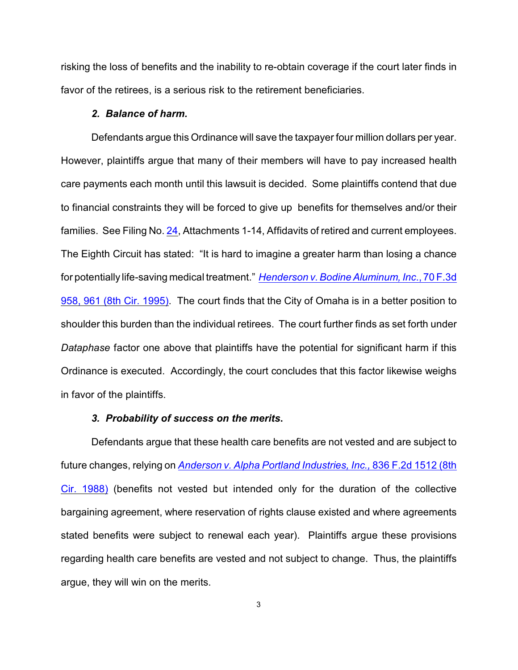risking the loss of benefits and the inability to re-obtain coverage if the court later finds in favor of the retirees, is a serious risk to the retirement beneficiaries.

### *2. Balance of harm.*

Defendants argue this Ordinance will save the taxpayer four million dollars per year. However, plaintiffs argue that many of their members will have to pay increased health care payments each month until this lawsuit is decided. Some plaintiffs contend that due to financial constraints they will be forced to give up benefits for themselves and/or their families. See Filing No. [24](http://ecf.ned.uscourts.gov/doc1/11302023922), Attachments 1-14, Affidavits of retired and current employees. The Eighth Circuit has stated: "It is hard to imagine a greater harm than losing a chance for potentially life-saving medical treatment." *[Henderson v. Bodine Aluminum, Inc](http://www.westlaw.com/find/default.wl?rs=CLWP3.0&vr=2.0&cite=70+F.3d+958)*., 70 F.3d [958, 961 \(8th Cir. 1995\)](http://www.westlaw.com/find/default.wl?rs=CLWP3.0&vr=2.0&cite=70+F.3d+958). The court finds that the City of Omaha is in a better position to shoulder this burden than the individual retirees. The court further finds as set forth under *Dataphase* factor one above that plaintiffs have the potential for significant harm if this Ordinance is executed. Accordingly, the court concludes that this factor likewise weighs in favor of the plaintiffs.

## *3. Probability of success on the merits***.**

Defendants argue that these health care benefits are not vested and are subject to future changes, relying on *Anderson [v. Alpha Portland Industries, Inc.,](http://www.westlaw.com/find/default.wl?rs=CLWP3.0&vr=2.0&cite=836+F.2d+1512)* 836 F.2d 1512 (8th [Cir. 1988\)](http://www.westlaw.com/find/default.wl?rs=CLWP3.0&vr=2.0&cite=836+F.2d+1512) (benefits not vested but intended only for the duration of the collective bargaining agreement, where reservation of rights clause existed and where agreements stated benefits were subject to renewal each year). Plaintiffs argue these provisions regarding health care benefits are vested and not subject to change. Thus, the plaintiffs argue, they will win on the merits.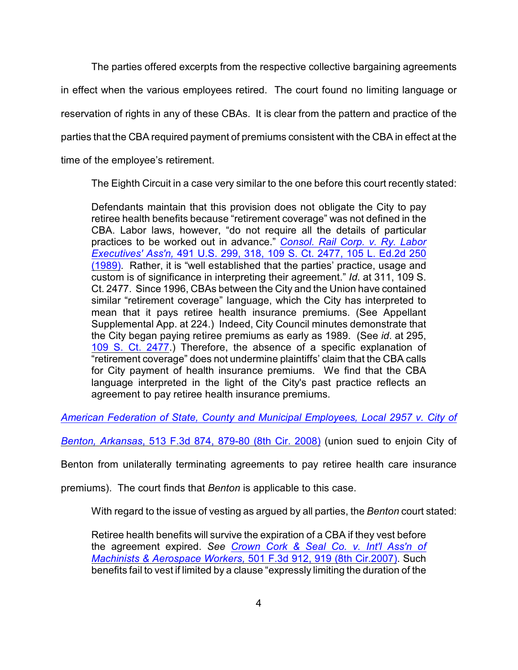The parties offered excerpts from the respective collective bargaining agreements in effect when the various employees retired. The court found no limiting language or reservation of rights in any of these CBAs. It is clear from the pattern and practice of the parties that the CBA required payment of premiums consistent with the CBA in effect at the time of the employee's retirement.

The Eighth Circuit in a case very similar to the one before this court recently stated:

Defendants maintain that this provision does not obligate the City to pay retiree health benefits because "retirement coverage" was not defined in the CBA. Labor laws, however, "do not require all the details of particular practices to be worked out in advance." *[Consol. Rail Corp. v. Ry. Labor](http://www.westlaw.com/find/default.wl?rs=CLWP3.0&vr=2.0&cite=491+U.S.+299) Executives' Ass'n,* [491 U.S. 299, 318, 109 S. Ct. 2477, 105 L. Ed.2d 250](http://www.westlaw.com/find/default.wl?rs=CLWP3.0&vr=2.0&cite=491+U.S.+299) [\(1989\)](http://www.westlaw.com/find/default.wl?rs=CLWP3.0&vr=2.0&cite=491+U.S.+299). Rather, it is "well established that the parties' practice, usage and custom is of significance in interpreting their agreement." *Id*. at 311, 109 S. Ct. 2477. Since 1996, CBAs between the City and the Union have contained similar "retirement coverage" language, which the City has interpreted to mean that it pays retiree health insurance premiums. (See Appellant Supplemental App. at 224.) Indeed, City Council minutes demonstrate that the City began paying retiree premiums as early as 1989. (See *id*. at 295, [109 S. Ct. 2477](http://www.westlaw.com/find/default.wl?rs=CLWP3.0&vr=2.0&cite=109+S.Ct.+2477).) Therefore, the absence of a specific explanation of "retirement coverage" does not undermine plaintiffs' claim that the CBA calls for City payment of health insurance premiums. We find that the CBA language interpreted in the light of the City's past practice reflects an agreement to pay retiree health insurance premiums.

*[American Federation of State, County and Municipal Employees, Local 2957 v. City of](http://www.westlaw.com/find/default.wl?rs=CLWP3.0&vr=2.0&cite=513+F.3d+874)*

*Benton, Arkansas*[, 513 F.3d 874, 879-80 \(8th Cir. 2008\)](http://www.westlaw.com/find/default.wl?rs=CLWP3.0&vr=2.0&cite=513+F.3d+874) (union sued to enjoin City of

Benton from unilaterally terminating agreements to pay retiree health care insurance

premiums). The court finds that *Benton* is applicable to this case.

With regard to the issue of vesting as argued by all parties, the *Benton* court stated:

Retiree health benefits will survive the expiration of a CBA if they vest before the agreement expired. *See Crown Cork & Seal Co. v. Int'l [Ass'n of](http://www.westlaw.com/find/default.wl?rs=CLWP3.0&vr=2.0&cite=501+F.3d+912) [Machinists & Aerospace Workers,](http://www.westlaw.com/find/default.wl?rs=CLWP3.0&vr=2.0&cite=501+F.3d+912)* 501 F.3d 912, 919 (8th Cir.2007). Such benefits fail to vest if limited by a clause "expressly limiting the duration of the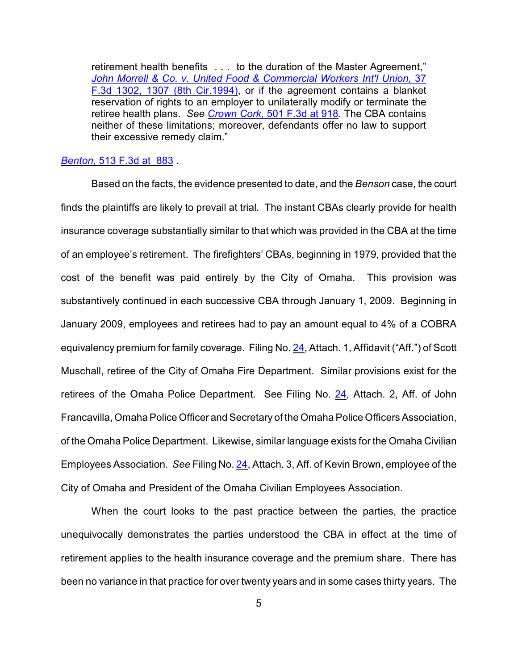retirement health benefits . . . to the duration of the Master Agreement," *John Morrell & Co. v. United Food [& Commercial Workers Int'l Union,](http://www.westlaw.com/find/default.wl?rs=CLWP3.0&vr=2.0&cite=37+F.3d+1302)* 37 [F.3d 1302, 1307 \(8th Cir.1994\)](http://www.westlaw.com/find/default.wl?rs=CLWP3.0&vr=2.0&cite=37+F.3d+1302), or if the agreement contains a blanket reservation of rights to an employer to unilaterally modify or terminate the retiree health plans. *See Crown Cork,* [501 F.3d at 918](http://www.westlaw.com/find/default.wl?rs=CLWP3.0&vr=2.0&cite=501+F.3d+918). The CBA contains neither of these limitations; moreover, defendants offer no law to support their excessive remedy claim."

#### *Benton*[, 513 F.3d at 883](http://www.westlaw.com/find/default.wl?rs=CLWP3.0&vr=2.0&cite=513+F.3d+883) .

Based on the facts, the evidence presented to date, and the *Benson* case, the court finds the plaintiffs are likely to prevail at trial. The instant CBAs clearly provide for health insurance coverage substantially similar to that which was provided in the CBA at the time of an employee's retirement. The firefighters' CBAs, beginning in 1979, provided that the cost of the benefit was paid entirely by the City of Omaha. This provision was substantively continued in each successive CBA through January 1, 2009. Beginning in January 2009, employees and retirees had to pay an amount equal to 4% of a COBRA equivalency premium for family coverage. Filing No. [24](http://ecf.ned.uscourts.gov/doc1/11302023922), Attach. 1, Affidavit ("Aff.") of Scott Muschall, retiree of the City of Omaha Fire Department. Similar provisions exist for the retirees of the Omaha Police Department. See Filing No. [24](http://ecf.ned.uscourts.gov/doc1/11302023922), Attach. 2, Aff. of John Francavilla, Omaha Police Officer and Secretary of the Omaha Police Officers Association, of the Omaha Police Department. Likewise, similar language exists for the Omaha Civilian Employees Association. *See* Filing No. [24](http://ecf.ned.uscourts.gov/doc1/11302023922), Attach. 3, Aff. of Kevin Brown, employee of the City of Omaha and President of the Omaha Civilian Employees Association.

When the court looks to the past practice between the parties, the practice unequivocally demonstrates the parties understood the CBA in effect at the time of retirement applies to the health insurance coverage and the premium share. There has been no variance in that practice for over twenty years and in some cases thirty years. The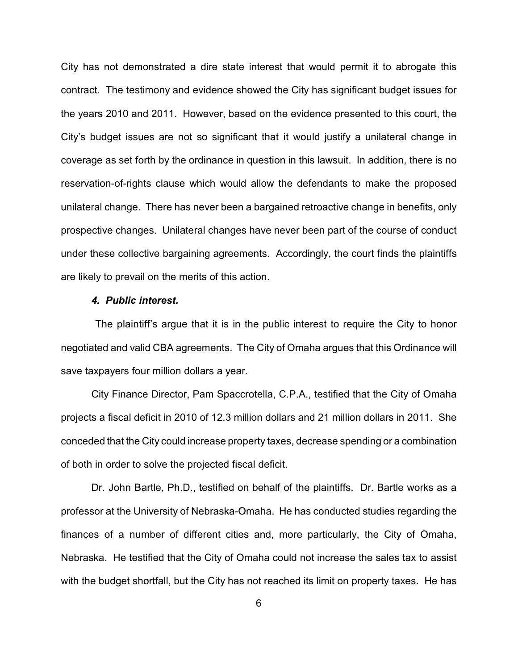City has not demonstrated a dire state interest that would permit it to abrogate this contract. The testimony and evidence showed the City has significant budget issues for the years 2010 and 2011. However, based on the evidence presented to this court, the City's budget issues are not so significant that it would justify a unilateral change in coverage as set forth by the ordinance in question in this lawsuit. In addition, there is no reservation-of-rights clause which would allow the defendants to make the proposed unilateral change. There has never been a bargained retroactive change in benefits, only prospective changes. Unilateral changes have never been part of the course of conduct under these collective bargaining agreements. Accordingly, the court finds the plaintiffs are likely to prevail on the merits of this action.

## *4. Public interest.*

 The plaintiff's argue that it is in the public interest to require the City to honor negotiated and valid CBA agreements. The City of Omaha argues that this Ordinance will save taxpayers four million dollars a year.

City Finance Director, Pam Spaccrotella, C.P.A., testified that the City of Omaha projects a fiscal deficit in 2010 of 12.3 million dollars and 21 million dollars in 2011. She conceded that the City could increase property taxes, decrease spending or a combination of both in order to solve the projected fiscal deficit.

Dr. John Bartle, Ph.D., testified on behalf of the plaintiffs. Dr. Bartle works as a professor at the University of Nebraska-Omaha. He has conducted studies regarding the finances of a number of different cities and, more particularly, the City of Omaha, Nebraska. He testified that the City of Omaha could not increase the sales tax to assist with the budget shortfall, but the City has not reached its limit on property taxes. He has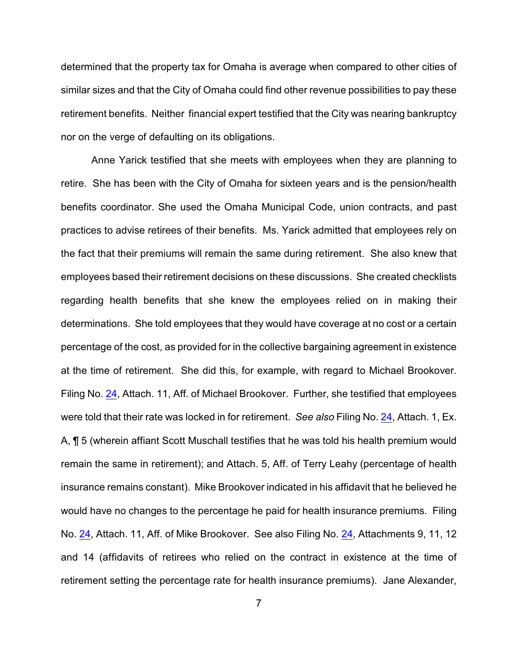determined that the property tax for Omaha is average when compared to other cities of similar sizes and that the City of Omaha could find other revenue possibilities to pay these retirement benefits. Neither financial expert testified that the City was nearing bankruptcy nor on the verge of defaulting on its obligations.

Anne Yarick testified that she meets with employees when they are planning to retire. She has been with the City of Omaha for sixteen years and is the pension/health benefits coordinator. She used the Omaha Municipal Code, union contracts, and past practices to advise retirees of their benefits. Ms. Yarick admitted that employees rely on the fact that their premiums will remain the same during retirement. She also knew that employees based their retirement decisions on these discussions. She created checklists regarding health benefits that she knew the employees relied on in making their determinations. She told employees that they would have coverage at no cost or a certain percentage of the cost, as provided for in the collective bargaining agreement in existence at the time of retirement. She did this, for example, with regard to Michael Brookover. Filing No. [24](http://ecf.ned.uscourts.gov/doc1/11302023922), Attach. 11, Aff. of Michael Brookover. Further, she testified that employees were told that their rate was locked in for retirement. *See also* Filing No. [24](http://ecf.ned.uscourts.gov/doc1/11302023922), Attach. 1, Ex. A, ¶ 5 (wherein affiant Scott Muschall testifies that he was told his health premium would remain the same in retirement); and Attach. 5, Aff. of Terry Leahy (percentage of health insurance remains constant). Mike Brookover indicated in his affidavit that he believed he would have no changes to the percentage he paid for health insurance premiums. Filing No. [24](http://ecf.ned.uscourts.gov/doc1/11302023922), Attach. 11, Aff. of Mike Brookover. See also Filing No. [24](http://ecf.ned.uscourts.gov/doc1/11302023922), Attachments 9, 11, 12 and 14 (affidavits of retirees who relied on the contract in existence at the time of retirement setting the percentage rate for health insurance premiums). Jane Alexander,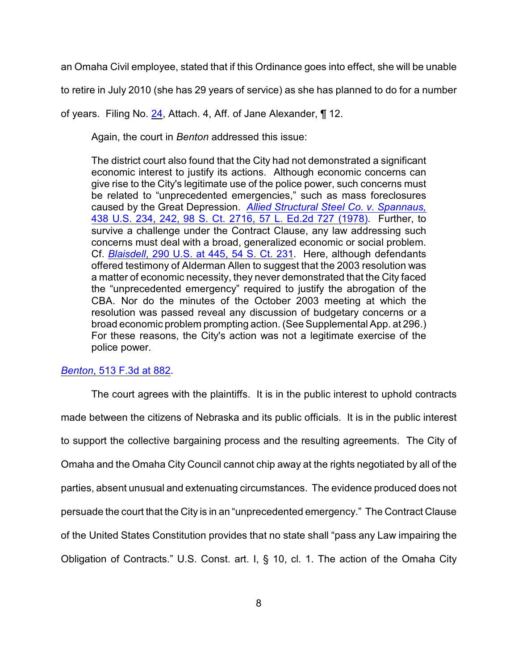an Omaha Civil employee, stated that if this Ordinance goes into effect, she will be unable

to retire in July 2010 (she has 29 years of service) as she has planned to do for a number

of years. Filing No. [24](http://ecf.ned.uscourts.gov/doc1/11302023922), Attach. 4, Aff. of Jane Alexander, ¶ 12.

Again, the court in *Benton* addressed this issue:

The district court also found that the City had not demonstrated a significant economic interest to justify its actions. Although economic concerns can give rise to the City's legitimate use of the police power, such concerns must be related to "unprecedented emergencies," such as mass foreclosures caused by the Great Depression. *[Allied Structural Steel Co. v. Spannaus,](http://www.westlaw.com/find/default.wl?rs=CLWP3.0&vr=2.0&cite=438+U.S.+234)* [438 U.S. 234, 242, 98 S. Ct. 2716, 57 L. Ed.2d 727 \(1978\)](http://www.westlaw.com/find/default.wl?rs=CLWP3.0&vr=2.0&cite=438+U.S.+234). Further, to survive a challenge under the Contract Clause, any law addressing such concerns must deal with a broad, generalized economic or social problem. Cf. *Blaisdell*[, 290 U.S. at 445, 54 S. Ct. 231](http://www.westlaw.com/find/default.wl?rs=CLWP3.0&vr=2.0&cite=290+U.S.+445). Here, although defendants offered testimony of Alderman Allen to suggest that the 2003 resolution was a matter of economic necessity, they never demonstrated that the City faced the "unprecedented emergency" required to justify the abrogation of the CBA. Nor do the minutes of the October 2003 meeting at which the resolution was passed reveal any discussion of budgetary concerns or a broad economic problem prompting action. (See Supplemental App. at 296.) For these reasons, the City's action was not a legitimate exercise of the police power.

# *Benton*[, 513 F.3d at 882](http://www.westlaw.com/find/default.wl?rs=CLWP3.0&vr=2.0&cite=513+F.3d+882).

The court agrees with the plaintiffs. It is in the public interest to uphold contracts made between the citizens of Nebraska and its public officials. It is in the public interest to support the collective bargaining process and the resulting agreements. The City of Omaha and the Omaha City Council cannot chip away at the rights negotiated by all of the parties, absent unusual and extenuating circumstances.The evidence produced does not persuade the court that the City is in an "unprecedented emergency."The Contract Clause of the United States Constitution provides that no state shall "pass any Law impairing the Obligation of Contracts." U.S. Const. art. I, § 10, cl. 1. The action of the Omaha City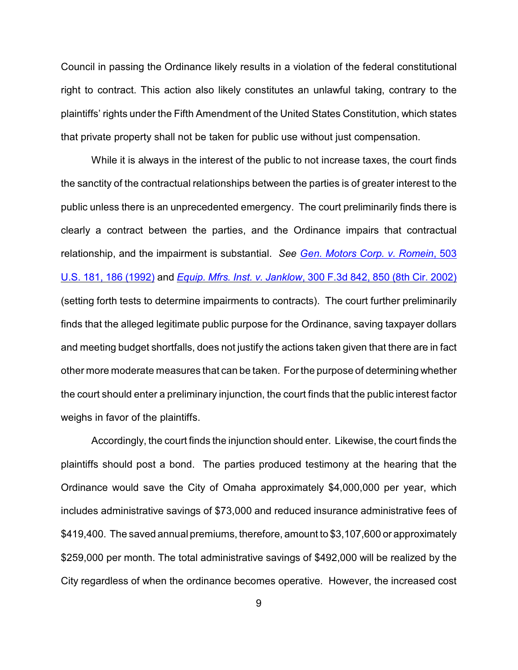Council in passing the Ordinance likely results in a violation of the federal constitutional right to contract. This action also likely constitutes an unlawful taking, contrary to the plaintiffs' rights under the Fifth Amendment of the United States Constitution, which states that private property shall not be taken for public use without just compensation.

While it is always in the interest of the public to not increase taxes, the court finds the sanctity of the contractual relationships between the parties is of greater interest to the public unless there is an unprecedented emergency. The court preliminarily finds there is clearly a contract between the parties, and the Ordinance impairs that contractual relationship, and the impairment is substantial. *See [Gen. Motors Corp. v. Romein](http://www.westlaw.com/find/default.wl?rs=CLWP3.0&vr=2.0&cite=503+U.S.+181)*, 503 [U.S. 181, 186 \(1992\)](http://www.westlaw.com/find/default.wl?rs=CLWP3.0&vr=2.0&cite=503+U.S.+181) and *Equip. Mfrs. Inst. v. Janklow*[, 300 F.3d 842, 850 \(8th Cir. 2002\)](http://www.westlaw.com/find/default.wl?rs=CLWP3.0&vr=2.0&cite=300+F.3d+842) (setting forth tests to determine impairments to contracts). The court further preliminarily finds that the alleged legitimate public purpose for the Ordinance, saving taxpayer dollars and meeting budget shortfalls, does not justify the actions taken given that there are in fact other more moderate measures that can be taken. Forthe purpose of determining whether the court should enter a preliminary injunction, the court finds that the public interest factor weighs in favor of the plaintiffs.

Accordingly, the court finds the injunction should enter. Likewise, the court finds the plaintiffs should post a bond. The parties produced testimony at the hearing that the Ordinance would save the City of Omaha approximately \$4,000,000 per year, which includes administrative savings of \$73,000 and reduced insurance administrative fees of \$419,400. The saved annual premiums, therefore, amount to \$3,107,600 or approximately \$259,000 per month. The total administrative savings of \$492,000 will be realized by the City regardless of when the ordinance becomes operative. However, the increased cost